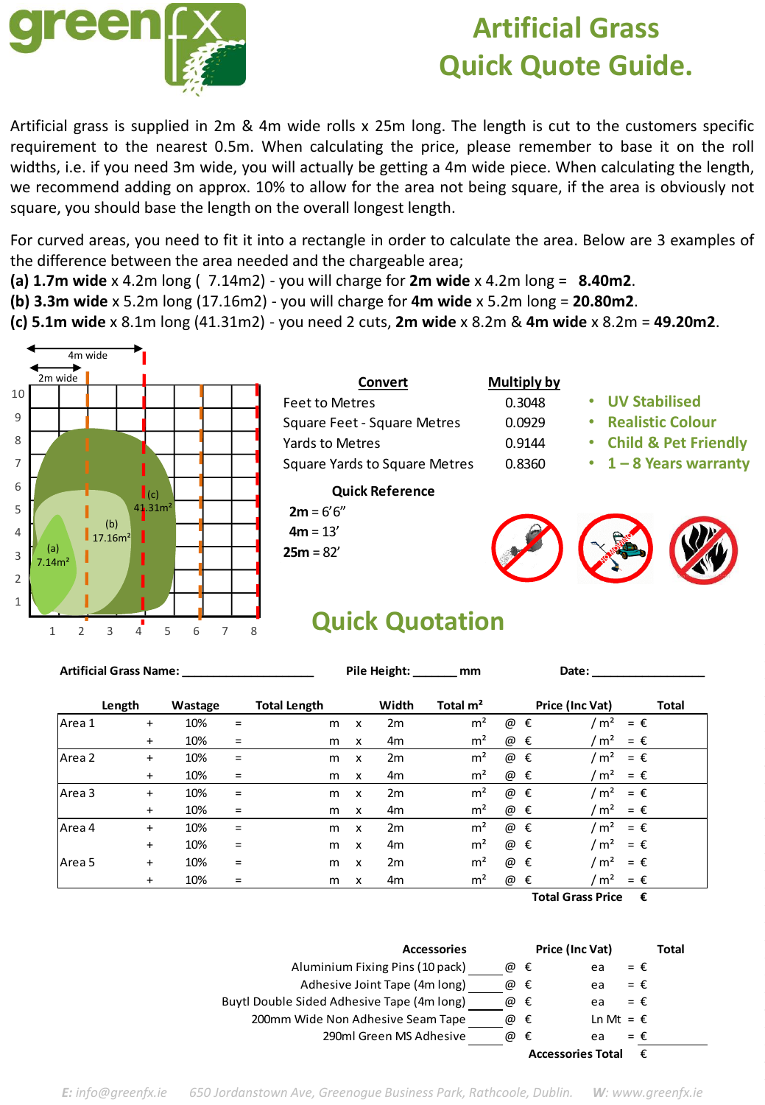

## **Artificial Grass Quick Quote Guide.**

Artificial grass is supplied in 2m & 4m wide rolls x 25m long. The length is cut to the customers specific requirement to the nearest 0.5m. When calculating the price, please remember to base it on the roll widths, i.e. if you need 3m wide, you will actually be getting a 4m wide piece. When calculating the length, we recommend adding on approx. 10% to allow for the area not being square, if the area is obviously not square, you should base the length on the overall longest length.

For curved areas, you need to fit it into a rectangle in order to calculate the area. Below are 3 examples of the difference between the area needed and the chargeable area;

- **(a) 1.7m wide** x 4.2m long ( 7.14m2) you will charge for **2m wide** x 4.2m long = **8.40m2**.
- **(b) 3.3m wide** x 5.2m long (17.16m2) you will charge for **4m wide** x 5.2m long = **20.80m2**.
- **(c) 5.1m wide** x 8.1m long (41.31m2) you need 2 cuts, **2m wide** x 8.2m & **4m wide** x 8.2m = **49.20m2**.



| Convert                              | <b>Multiply</b> |
|--------------------------------------|-----------------|
| Feet to Metres                       | 0.3048          |
| Square Feet - Square Metres          | 0.0929          |
| Yards to Metres                      | 0.9144          |
| <b>Square Yards to Square Metres</b> | 0.8360          |

## **Quick Reference**

 $2m = 6'6''$  $4m = 13'$ **25m** = 82'

| Multiply by |  |
|-------------|--|
| פו⁄ט פ      |  |

 $0.0929$  $0.9144$ 

- **UV Stabilised**
- **Realistic Colour**
- **Child & Pet Friendly**
- **1 – 8 Years warranty**



## **Quick Quotation**

| <b>Artificial Grass Name:</b> |           |         |     |                     | Pile Height:<br>mm        |                |                |               | Date:                               |  |  |
|-------------------------------|-----------|---------|-----|---------------------|---------------------------|----------------|----------------|---------------|-------------------------------------|--|--|
|                               | Length    | Wastage |     | <b>Total Length</b> |                           | Width          | Total $m2$     |               | Price (Inc Vat)<br><b>Total</b>     |  |  |
| Area 1                        | $\ddot{}$ | 10%     | $=$ | m                   | x                         | 2m             | m <sup>2</sup> | @<br>€        | m <sup>2</sup><br>$=$ $\epsilon$    |  |  |
|                               | $\ddot{}$ | 10%     | $=$ | m                   | X                         | 4m             | m <sup>2</sup> | €<br>@        | m <sup>2</sup><br>$=$ $\varepsilon$ |  |  |
| Area 2                        | $\ddot{}$ | 10%     | $=$ | m                   | X                         | 2m             | m <sup>2</sup> | €<br>@        | m <sup>2</sup><br>$=$ $\epsilon$    |  |  |
|                               | $\ddot{}$ | 10%     | $=$ | m                   | x                         | 4m             | m <sup>2</sup> | @ €           | m <sup>2</sup><br>$=$ $\epsilon$    |  |  |
| lArea 3                       | $\ddot{}$ | 10%     | $=$ | m                   | x                         | 2m             | m <sup>2</sup> | @<br>€        | m <sup>2</sup><br>$=$ $\epsilon$    |  |  |
|                               | $\ddot{}$ | 10%     | $=$ | m                   | $\boldsymbol{\mathsf{x}}$ | 4m             | m <sup>2</sup> | @<br>€        | m <sup>2</sup><br>$=$ $\epsilon$    |  |  |
| Area 4                        | $\ddot{}$ | 10%     | $=$ | m                   | x                         | 2m             | m <sup>2</sup> | @<br>€        | /m <sup>2</sup><br>$=$ $\epsilon$   |  |  |
|                               | $+$       | 10%     | $=$ | m                   | $\boldsymbol{\mathsf{x}}$ | 4 <sub>m</sub> | m <sup>2</sup> | @ €           | m <sup>2</sup><br>$=$ $\varepsilon$ |  |  |
| Area <sub>5</sub>             | $\ddot{}$ | 10%     | $=$ | m                   | X                         | 2m             | m <sup>2</sup> | @<br>€        | m <sup>2</sup><br>$=$ $\epsilon$    |  |  |
|                               | $\ddot{}$ | 10%     | $=$ | m                   | $\boldsymbol{\mathsf{x}}$ | 4m             | m <sup>2</sup> | @<br>€<br>_ _ | m <sup>2</sup><br>$=$ $\varepsilon$ |  |  |

**Total Grass Price €**



*E: info@greenfx.ie 650 Jordanstown Ave, Greenogue Business Park, Rathcoole, Dublin. W: www.greenfx.ie*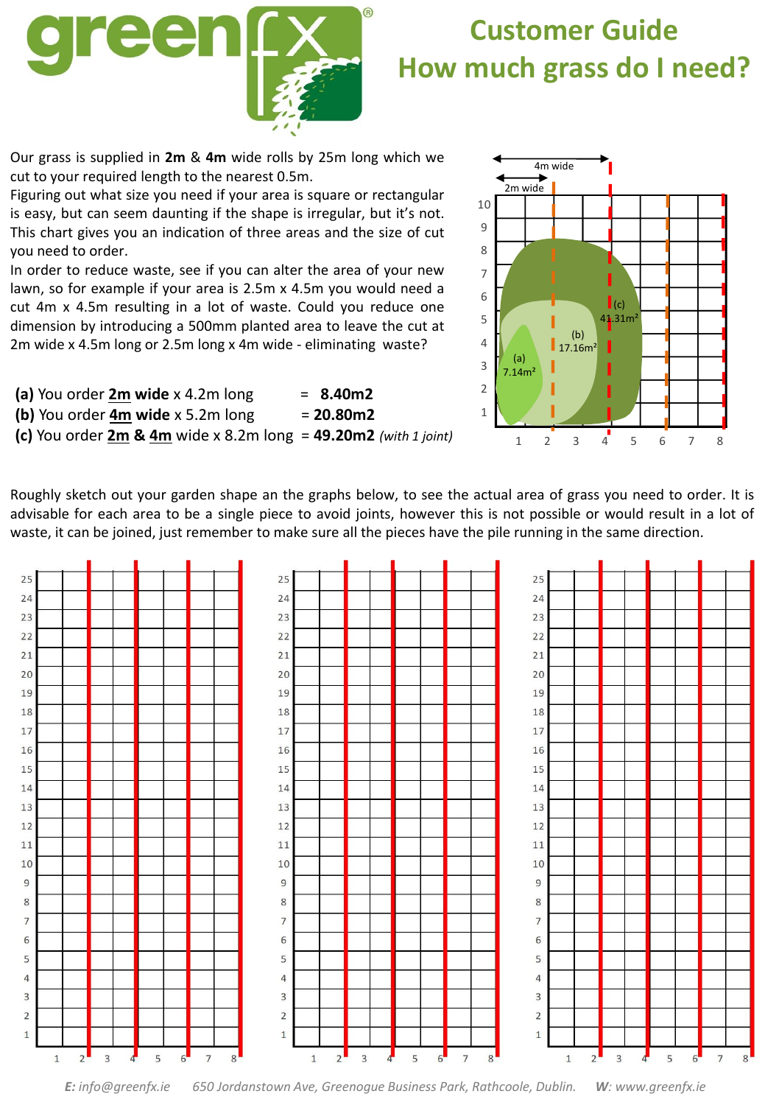

## **Customer Guide How much grass do I need?**

Our grass is supplied in **2m** & **4m** wide rolls by 25m long which we cut to your required length to the nearest 0.5m.

Figuring out what size you need if your area is square or rectangular is easy, but can seem daunting if the shape is irregular, but it's not. This chart gives you an indication of three areas and the size of cut you need to order.

In order to reduce waste, see if you can alter the area of your new lawn, so for example if your area is 2.5m x 4.5m you would need a cut 4m x 4.5m resulting in a lot of waste. Could you reduce one dimension by introducing a 500mm planted area to leave the cut at 2m wide x 4.5m long or 2.5m long x 4m wide - eliminating waste?

| (a) You order 2m wide x 4.2m long                                     | $= 8.40m2$         |
|-----------------------------------------------------------------------|--------------------|
| (b) You order 4m wide x 5.2m long                                     | $= 20.80 \text{m}$ |
| (c) You order $2m$ & $4m$ wide x 8.2m long = $49.20m2$ (with 1 joint) |                    |



Roughly sketch out your garden shape an the graphs below, to see the actual area of grass you need to order. It is advisable for each area to be a single piece to avoid joints, however this is not possible or would result in a lot of waste, it can be joined, just remember to make sure all the pieces have the pile running in the same direction.



*E: info@greenfx.ie 650 Jordanstown Ave, Greenogue Business Park, Rathcoole, Dublin. W: www.greenfx.ie*